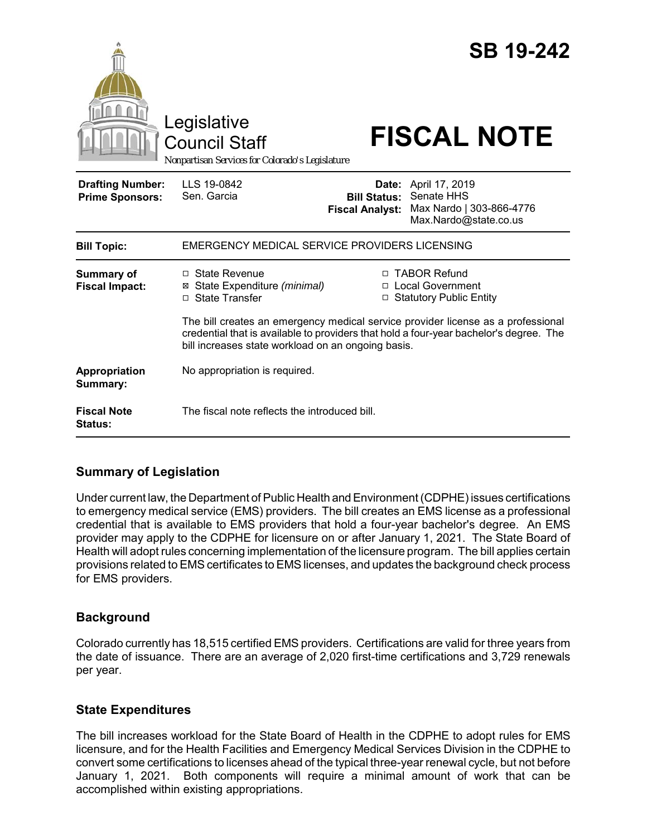|                                                   | Legislative<br><b>Council Staff</b><br>Nonpartisan Services for Colorado's Legislature |                                               | <b>SB 19-242</b><br><b>FISCAL NOTE</b>                                                                                                                                                                                                          |
|---------------------------------------------------|----------------------------------------------------------------------------------------|-----------------------------------------------|-------------------------------------------------------------------------------------------------------------------------------------------------------------------------------------------------------------------------------------------------|
| <b>Drafting Number:</b><br><b>Prime Sponsors:</b> | LLS 19-0842<br>Sen. Garcia                                                             | <b>Bill Status:</b><br><b>Fiscal Analyst:</b> | <b>Date:</b> April 17, 2019<br>Senate HHS<br>Max Nardo   303-866-4776<br>Max.Nardo@state.co.us                                                                                                                                                  |
| <b>Bill Topic:</b>                                | EMERGENCY MEDICAL SERVICE PROVIDERS LICENSING                                          |                                               |                                                                                                                                                                                                                                                 |
| <b>Summary of</b><br><b>Fiscal Impact:</b>        | □ State Revenue<br>⊠ State Expenditure (minimal)<br>□ State Transfer                   |                                               | □ TABOR Refund<br>□ Local Government<br>□ Statutory Public Entity<br>The bill creates an emergency medical service provider license as a professional<br>credential that is available to providers that hold a four-year bachelor's degree. The |
|                                                   | bill increases state workload on an ongoing basis.                                     |                                               |                                                                                                                                                                                                                                                 |
| Appropriation<br>Summary:                         | No appropriation is required.                                                          |                                               |                                                                                                                                                                                                                                                 |
| <b>Fiscal Note</b><br><b>Status:</b>              | The fiscal note reflects the introduced bill.                                          |                                               |                                                                                                                                                                                                                                                 |

## **Summary of Legislation**

Under current law, the Department of Public Health and Environment (CDPHE) issues certifications to emergency medical service (EMS) providers. The bill creates an EMS license as a professional credential that is available to EMS providers that hold a four-year bachelor's degree. An EMS provider may apply to the CDPHE for licensure on or after January 1, 2021. The State Board of Health will adopt rules concerning implementation of the licensure program. The bill applies certain provisions related to EMS certificates to EMS licenses, and updates the background check process for EMS providers.

## **Background**

Colorado currently has 18,515 certified EMS providers. Certifications are valid for three years from the date of issuance. There are an average of 2,020 first-time certifications and 3,729 renewals per year.

## **State Expenditures**

The bill increases workload for the State Board of Health in the CDPHE to adopt rules for EMS licensure, and for the Health Facilities and Emergency Medical Services Division in the CDPHE to convert some certifications to licenses ahead of the typical three-year renewal cycle, but not before January 1, 2021. Both components will require a minimal amount of work that can be accomplished within existing appropriations.